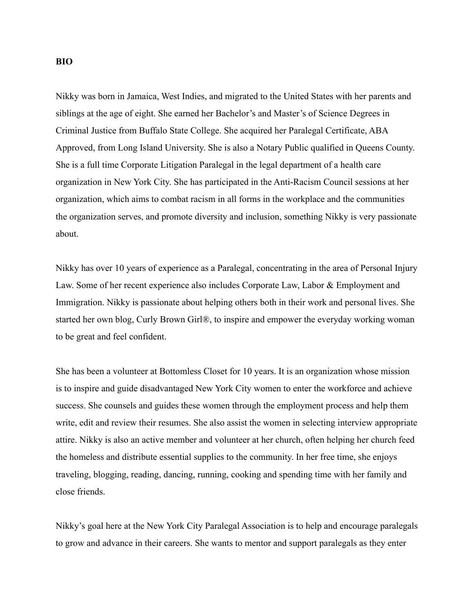## **BIO**

Nikky was born in Jamaica, West Indies, and migrated to the United States with her parents and siblings at the age of eight. She earned her Bachelor's and Master's of Science Degrees in Criminal Justice from Buffalo State College. She acquired her Paralegal Certificate, ABA Approved, from Long Island University. She is also a Notary Public qualified in Queens County. She is a full time Corporate Litigation Paralegal in the legal department of a health care organization in New York City. She has participated in the Anti-Racism Council sessions at her organization, which aims to combat racism in all forms in the workplace and the communities the organization serves, and promote diversity and inclusion, something Nikky is very passionate about.

Nikky has over 10 years of experience as a Paralegal, concentrating in the area of Personal Injury Law. Some of her recent experience also includes Corporate Law, Labor & Employment and Immigration. Nikky is passionate about helping others both in their work and personal lives. She started her own blog, Curly Brown Girl®, to inspire and empower the everyday working woman to be great and feel confident.

She has been a volunteer at Bottomless Closet for 10 years. It is an organization whose mission is to inspire and guide disadvantaged New York City women to enter the workforce and achieve success. She counsels and guides these women through the employment process and help them write, edit and review their resumes. She also assist the women in selecting interview appropriate attire. Nikky is also an active member and volunteer at her church, often helping her church feed the homeless and distribute essential supplies to the community. In her free time, she enjoys traveling, blogging, reading, dancing, running, cooking and spending time with her family and close friends.

Nikky's goal here at the New York City Paralegal Association is to help and encourage paralegals to grow and advance in their careers. She wants to mentor and support paralegals as they enter